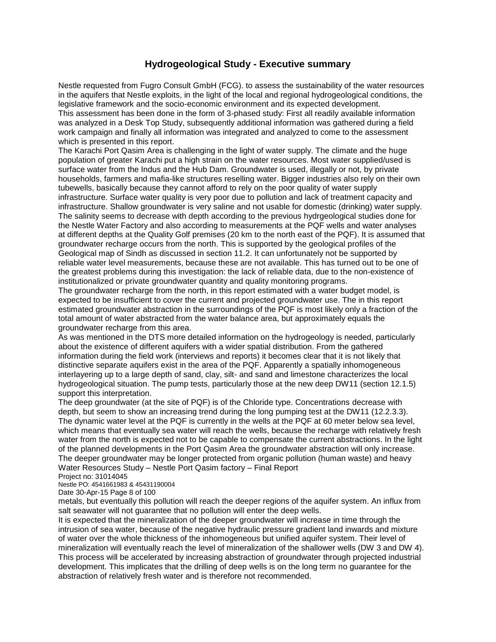## **Hydrogeological Study - Executive summary**

Nestle requested from Fugro Consult GmbH (FCG). to assess the sustainability of the water resources in the aquifers that Nestle exploits, in the light of the local and regional hydrogeological conditions, the legislative framework and the socio-economic environment and its expected development. This assessment has been done in the form of 3-phased study: First all readily available information was analyzed in a Desk Top Study, subsequently additional information was gathered during a field work campaign and finally all information was integrated and analyzed to come to the assessment which is presented in this report.

The Karachi Port Qasim Area is challenging in the light of water supply. The climate and the huge population of greater Karachi put a high strain on the water resources. Most water supplied/used is surface water from the Indus and the Hub Dam. Groundwater is used, illegally or not, by private households, farmers and mafia-like structures reselling water. Bigger industries also rely on their own tubewells, basically because they cannot afford to rely on the poor quality of water supply infrastructure. Surface water quality is very poor due to pollution and lack of treatment capacity and infrastructure. Shallow groundwater is very saline and not usable for domestic (drinking) water supply. The salinity seems to decrease with depth according to the previous hydrgeological studies done for the Nestle Water Factory and also according to measurements at the PQF wells and water analyses at different depths at the Quality Golf premises (20 km to the north east of the PQF). It is assumed that groundwater recharge occurs from the north. This is supported by the geological profiles of the Geological map of Sindh as discussed in section 11.2. It can unfortunately not be supported by reliable water level measurements, because these are not available. This has turned out to be one of the greatest problems during this investigation: the lack of reliable data, due to the non-existence of institutionalized or private groundwater quantity and quality monitoring programs.

The groundwater recharge from the north, in this report estimated with a water budget model, is expected to be insufficient to cover the current and projected groundwater use. The in this report estimated groundwater abstraction in the surroundings of the PQF is most likely only a fraction of the total amount of water abstracted from the water balance area, but approximately equals the groundwater recharge from this area.

As was mentioned in the DTS more detailed information on the hydrogeology is needed, particularly about the existence of different aquifers with a wider spatial distribution. From the gathered information during the field work (interviews and reports) it becomes clear that it is not likely that distinctive separate aquifers exist in the area of the PQF. Apparently a spatially inhomogeneous interlayering up to a large depth of sand, clay, silt- and sand and limestone characterizes the local hydrogeological situation. The pump tests, particularly those at the new deep DW11 (section 12.1.5) support this interpretation.

The deep groundwater (at the site of PQF) is of the Chloride type. Concentrations decrease with depth, but seem to show an increasing trend during the long pumping test at the DW11 (12.2.3.3). The dynamic water level at the PQF is currently in the wells at the PQF at 60 meter below sea level, which means that eventually sea water will reach the wells, because the recharge with relatively fresh water from the north is expected not to be capable to compensate the current abstractions. In the light of the planned developments in the Port Qasim Area the groundwater abstraction will only increase. The deeper groundwater may be longer protected from organic pollution (human waste) and heavy Water Resources Study – Nestle Port Qasim factory – Final Report

Project no: 31014045

Nestle PO: 4541661983 & 45431190004

Date 30-Apr-15 Page 8 of 100

metals, but eventually this pollution will reach the deeper regions of the aquifer system. An influx from salt seawater will not guarantee that no pollution will enter the deep wells.

It is expected that the mineralization of the deeper groundwater will increase in time through the intrusion of sea water, because of the negative hydraulic pressure gradient land inwards and mixture of water over the whole thickness of the inhomogeneous but unified aquifer system. Their level of mineralization will eventually reach the level of mineralization of the shallower wells (DW 3 and DW 4). This process will be accelerated by increasing abstraction of groundwater through projected industrial development. This implicates that the drilling of deep wells is on the long term no guarantee for the abstraction of relatively fresh water and is therefore not recommended.